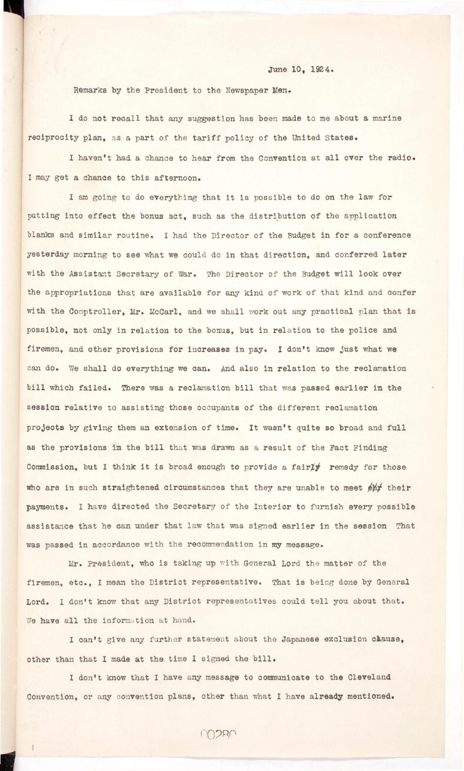June 10, 1924.

Remarks by the President to the Newspaper Men.

I do not recall that any suggestion has been made to me about a marine reciprocity plan, as a part of the tariff policy of the United States.

I haven't had a chance to hear from the Convention at all over the radio. I may get a chance to this afternoon.

I am going to do everything that it is possible to do on the law for putting into effect the bonus act, such as the distribution of the application blanks and similar routine. I had the Director of the Budget in for a conference **yesterday** morning to see what we could do in that direction, and conferred later with the Assistant Secretary of War. The Director of the Budget will look over **the appropriations that are available for any kind of work of that kind and confer**  with the Comptroller, Mr. McCarl, and we shall work out any practical plan that is possible, not only in relation to the bonus, but in relation to the police and firemen, and other provisions for increases in pay. I don't know just what we can do. We shall do everything we can. And also in relation to the reclamation **bill which failed. There was a reclamation bill that was passed earlier in the** session relative to assisting those occupants of the different reclamation projects by giving them an extension of time. It wasn't quite so broad and full as the provisions in the bill that was drawn as a result of the Fact Finding Commission, but I think it is broad enough to provide a fairly remedy for those who are in such straightened circumstances that they are unable to meet  $\cancel{\text{e}}\text{h}$ <sup>t</sup> their **payments. I have directed the Secretary of the Interior to furnish every possible**  assistance that he can under that law that was signed earlier in the session That **was passed i n accordance with the recommendation i n my message.** 

Mr. President, who is taking up with General Lord the matter of the firemen, etc., I mean the District representative. That is being done by General

Lord. I don't know that any District representatives could tell you about that. We have all the information at hand.

**I can't give any further statement about the Japanese exclusion caause,**  other than that I made at the time I signed the bill.

**I don't know that I have any message to communicate to the Cleveland Convention, or any convention plans, other than what I have already mentioned.** 

**n** I, . iii, . iii, . iii, . iii, . iii, . iii, . iii, . iii, . iii, . iii, . iii, . iii, . ii, . ii, . ii, . ii, . i